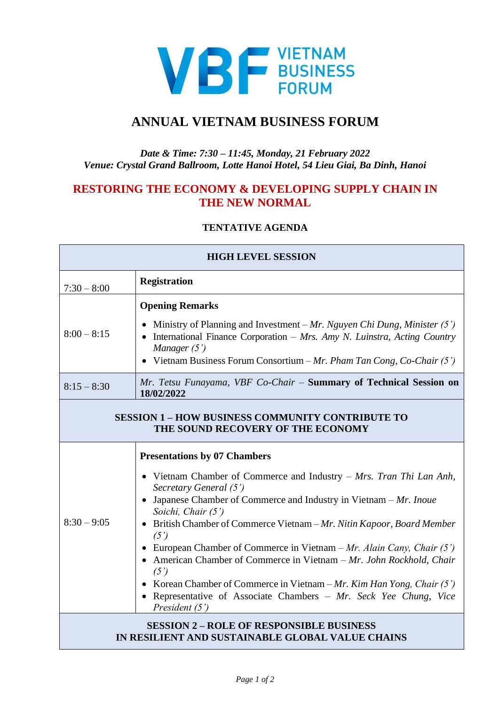

## **ANNUAL VIETNAM BUSINESS FORUM**

## *Date & Time: 7:30 – 11:45, Monday, 21 February 2022 Venue: Crystal Grand Ballroom, Lotte Hanoi Hotel, 54 Lieu Giai, Ba Dinh, Hanoi*

## **RESTORING THE ECONOMY & DEVELOPING SUPPLY CHAIN IN THE NEW NORMAL**

## **TENTATIVE AGENDA**

| <b>HIGH LEVEL SESSION</b>                                                                           |                                                                                                                                                                                                                                                                                                                                                                                                                                                                                                                                                                                                                                                   |  |
|-----------------------------------------------------------------------------------------------------|---------------------------------------------------------------------------------------------------------------------------------------------------------------------------------------------------------------------------------------------------------------------------------------------------------------------------------------------------------------------------------------------------------------------------------------------------------------------------------------------------------------------------------------------------------------------------------------------------------------------------------------------------|--|
| $7:30 - 8:00$                                                                                       | <b>Registration</b>                                                                                                                                                                                                                                                                                                                                                                                                                                                                                                                                                                                                                               |  |
| $8:00 - 8:15$                                                                                       | <b>Opening Remarks</b><br>Ministry of Planning and Investment – Mr. Nguyen Chi Dung, Minister $(5')$<br>• International Finance Corporation - Mrs. Amy N. Luinstra, Acting Country<br>Manager $(5')$<br>Vietnam Business Forum Consortium – Mr. Pham Tan Cong, Co-Chair $(5')$                                                                                                                                                                                                                                                                                                                                                                    |  |
| $8:15 - 8:30$                                                                                       | Mr. Tetsu Funayama, VBF Co-Chair - Summary of Technical Session on<br>18/02/2022                                                                                                                                                                                                                                                                                                                                                                                                                                                                                                                                                                  |  |
| <b>SESSION 1 - HOW BUSINESS COMMUNITY CONTRIBUTE TO</b><br>THE SOUND RECOVERY OF THE ECONOMY        |                                                                                                                                                                                                                                                                                                                                                                                                                                                                                                                                                                                                                                                   |  |
| $8:30 - 9:05$                                                                                       | <b>Presentations by 07 Chambers</b><br>• Vietnam Chamber of Commerce and Industry - Mrs. Tran Thi Lan Anh,<br>Secretary General (5')<br>• Japanese Chamber of Commerce and Industry in Vietnam $-Mr$ . Inoue<br>Soichi, Chair (5')<br>British Chamber of Commerce Vietnam - Mr. Nitin Kapoor, Board Member<br>(5')<br>• European Chamber of Commerce in Vietnam – Mr. Alain Cany, Chair $(5')$<br>• American Chamber of Commerce in Vietnam - Mr. John Rockhold, Chair<br>(5')<br>• Korean Chamber of Commerce in Vietnam – Mr. Kim Han Yong, Chair $(5')$<br>• Representative of Associate Chambers - Mr. Seck Yee Chung, Vice<br>President (5') |  |
| <b>SESSION 2 – ROLE OF RESPONSIBLE BUSINESS</b><br>IN RESILIENT AND SUSTAINABLE GLOBAL VALUE CHAINS |                                                                                                                                                                                                                                                                                                                                                                                                                                                                                                                                                                                                                                                   |  |